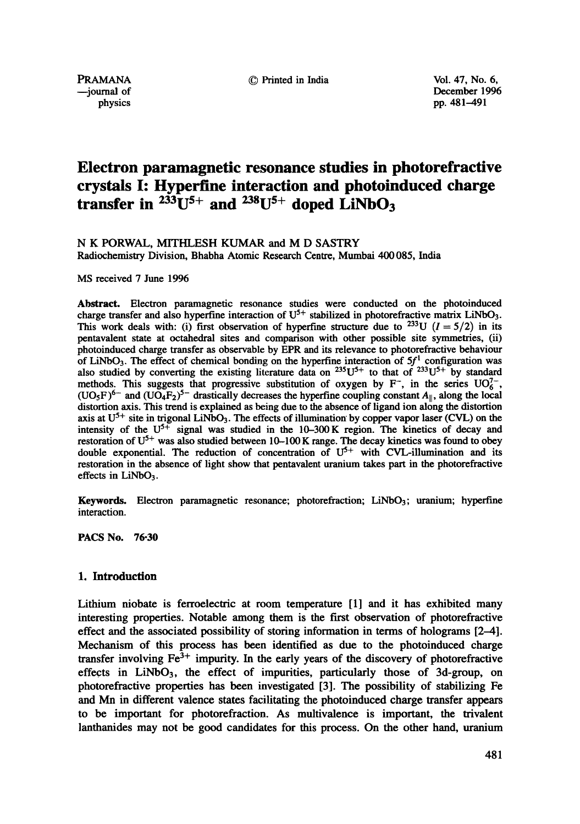PRAMANA 
<sup>©</sup> Printed in India 
<sup>O</sup> Vol. 47, No. 6,<br>
—iournal of 
December 1996 urnal of December 1996<br>
physics pp. 481–491 pp. 481-491

# **Electron paramagnetic resonance studies in photorefractive crystals I: Hyperfine interaction and photoinduced charge**  transfer in  $233U^{5+}$  and  $238U^{5+}$  doped LiNbO<sub>3</sub>

## N K PORWAL, MITHLESH KUMAR and M D SASTRY

Radiochemistry Division, Bhabha Atomic Research Centre, Mumbai 400085, India

MS received 7 June 1996

**Abstract.** Electron paramagnetic resonance studies were conducted on the photoinduced charge transfer and also hyperfine interaction of  $U^{5+}$  stabilized in photorefractive matrix LiNbO<sub>3</sub>. This work deals with: (i) first observation of hyperfine structure due to <sup>233</sup>U ( $I = 5/2$ ) in its pentavalent state at octahedral sites and comparison with other possible site symmetries, (ii) photoinduced charge transfer as observable by EPR and its relevance to photorefractive behaviour of LiNbO<sub>3</sub>. The effect of chemical bonding on the hyperfine interaction of  $5f<sup>1</sup>$  configuration was also studied by converting the existing literature data on  $^{235}U^{5+}$  to that of  $^{233}U^{5+}$  by standard methods. This suggests that progressive substitution of oxygen by  $F^-$ , in the series  $UO_6^{7-}$ ,  $(UO_5F)^{6-}$  and  $(UO_4F_2)^{5-}$  drastically decreases the hyperfine coupling constant  $A_{\parallel}$ , along the local distortion axis. This trend is explained as being due to the absence of ligand ion along the distortion axis at  $U^{5+}$  site in trigonal LiNbO<sub>3</sub>. The effects of illumination by copper vapor laser (CVL) on the intensity of the  $U^{5+}$  signal was studied in the 10-300 K region. The kinetics of decay and restoration of  $U^{5+}$  was also studied between 10-100 K range. The decay kinetics was found to obey double exponential. The reduction of concentration of  $U^{5+}$  with CVL-illumination and its restoration in the absence of light show that pentavalent uranium takes part in the photorefractive effects in  $LiNbO<sub>3</sub>$ .

Keywords. Electron paramagnetic resonance; photorefraction; LiNbO3; uranium; hyperfine interaction.

**PACS No. 76-30** 

## 1. Introduction

Lithium niobate is ferroelectric at room temperature [1] and it has exhibited many interesting properties. Notable among them is the first observation of photorefractive effect and the associated possibility of storing information in terms of holograms [2-4]. Mechanism of this process has been identified as due to the photoinduced charge transfer involving  $Fe<sup>3+</sup>$  impurity. In the early years of the discovery of photorefractive effects in  $LiNbO<sub>3</sub>$ , the effect of impurities, particularly those of 3d-group, on photorefractive properties has been investigated [3]. The possibility of stabilizing Fe and Mn in different valence states facilitating the photoindueed charge transfer appears to be important for photorefraction. As multivalence is important, the trivalent lanthanides may not be good candidates for this process. On the other hand, uranium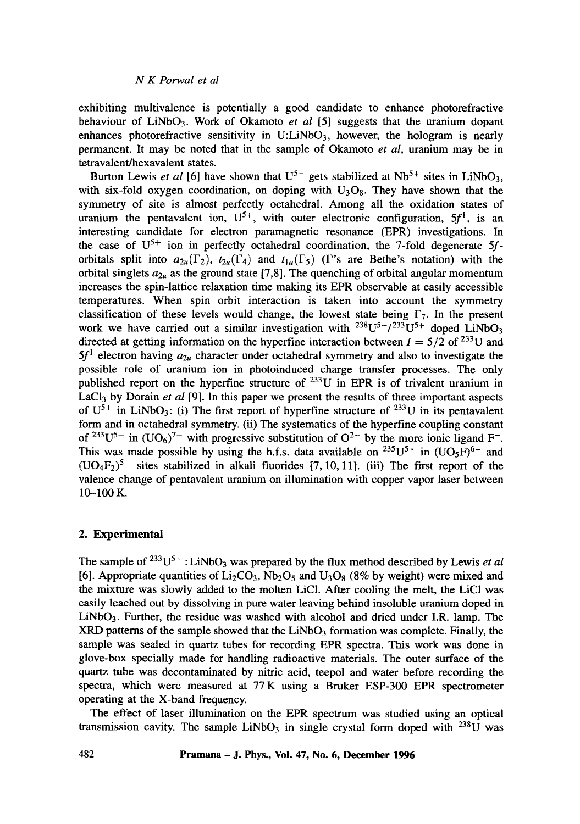exhibiting multivalence is potentially a good candidate to enhance photorefractive behaviour of LiNbO3. Work of Okamoto *et al* [5] suggests that the uranium dopant enhances photorefractive sensitivity in  $U:LiNbO<sub>3</sub>$ , however, the hologram is nearly permanent. It may be noted that in the sample of Okamoto *et al,* uranium may be in tetravalent/hexavalent states.

Burton Lewis *et al* [6] have shown that  $U^{5+}$  gets stabilized at  $Nb^{5+}$  sites in LiNbO<sub>3</sub>, with six-fold oxygen coordination, on doping with  $U_3O_8$ . They have shown that the symmetry of site is almost perfectly octahedral. Among all the oxidation states of uranium the pentavalent ion,  $U^{5+}$ , with outer electronic configuration,  $5f^1$ , is an interesting candidate for electron paramagnetic resonance (EPR) investigations. In the case of  $U^{5+}$  ion in perfectly octahedral coordination, the 7-fold degenerate 5forbitals split into  $a_{2u}(\Gamma_2)$ ,  $t_{2u}(\Gamma_4)$  and  $t_{1u}(\Gamma_5)$  (I's are Bethe's notation) with the orbital singlets  $a_{2\mu}$  as the ground state [7,8]. The quenching of orbital angular momentum increases the spin-lattice relaxation time making its EPR observable at easily accessible temperatures. When spin orbit interaction is taken into account the symmetry classification of these levels would change, the lowest state being  $\Gamma_7$ . In the present work we have carried out a similar investigation with  $^{238}U^{5+}/^{233}U^{5+}$  doped LiNbO<sub>3</sub> directed at getting information on the hyperfine interaction between  $I = 5/2$  of <sup>233</sup>U and  $5f<sup>1</sup>$  electron having  $a_{2\mu}$  character under octahedral symmetry and also to investigate the possible role of uranium ion in photoinduced charge transfer processes. The only published report on the hyperfine structure of  $^{233}$ U in EPR is of trivalent uranium in LaCl<sub>3</sub> by Dorain *et al* [9]. In this paper we present the results of three important aspects of  $U^{5+}$  in LiNbO<sub>3</sub>: (i) The first report of hyperfine structure of <sup>233</sup>U in its pentavalent form and in octahedral symmetry. (ii) The systematics of the hyperfine coupling constant of <sup>233</sup>U<sup>5+</sup> in  $(UO_6)^{7}$  with progressive substitution of  $O^{2}$  by the more ionic ligand F<sup>-</sup>. This was made possible by using the h.f.s. data available on <sup>235</sup>U<sup>5+</sup> in  $(UO_5F)^{6-}$  and  $(UO_4F_2)^{5-}$  sites stabilized in alkali fluorides [7, 10, 11]. (iii) The first report of the valence change of pentavalent uranium on illumination with copper vapor laser between 10-100 K.

#### **2. Experimental**

The sample of  $233U^{5+}$ : LiNbO<sub>3</sub> was prepared by the flux method described by Lewis *et al* [6]. Appropriate quantities of  $Li<sub>2</sub>CO<sub>3</sub>$ , Nb<sub>2</sub>O<sub>5</sub> and U<sub>3</sub>O<sub>8</sub> (8% by weight) were mixed and the mixture was slowly added to the molten LiC1. After cooling the melt, the LiC1 was easily leached out by dissolving in pure water leaving behind insoluble uranium doped in LiNbO<sub>3</sub>. Further, the residue was washed with alcohol and dried under I.R. lamp. The  $XRD$  patterns of the sample showed that the LiNbO<sub>3</sub> formation was complete. Finally, the sample was sealed in quartz tubes for recording EPR spectra. This work was done in glove-box specially made for handling radioactive materials. The outer surface of the quartz tube was decontaminated by nitric acid, teepol and water before recording the spectra, which were measured at 77 K using a Bruker ESP-300 EPR spectrometer operating at the X-band frequency.

The effect of laser illumination on the EPR spectrum was studied using an optical transmission cavity. The sample LiNbO<sub>3</sub> in single crystal form doped with  $^{238}$ U was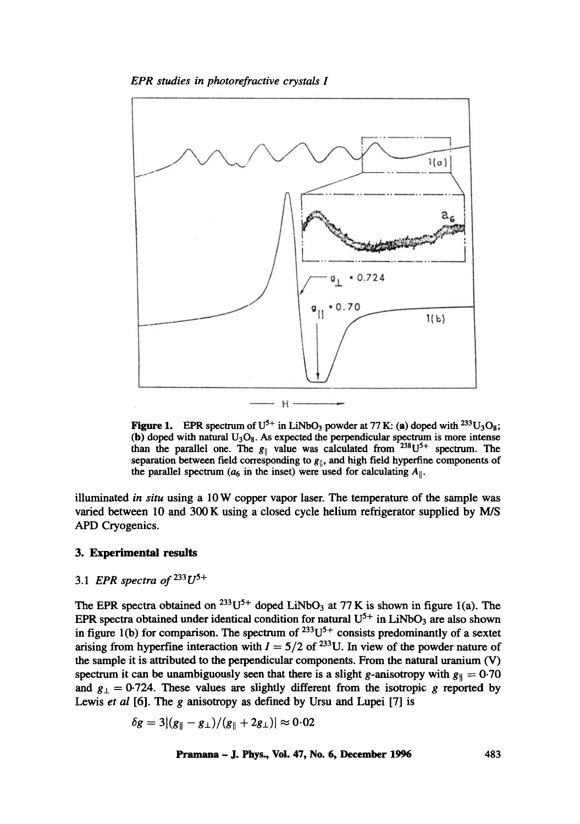

**Figure 1.** EPR spectrum of  $U^{5+}$  in LiNbO<sub>3</sub> powder at 77 K: (a) doped with <sup>233</sup>U<sub>3</sub>O<sub>8</sub>; (b) doped with natural  $U_3O_8$ . As expected the perpendicular spectrum is more intense than the parallel one. The  $g_{\parallel}$  value was calculated from  $238U^{5+}$  spectrum. The separation between field corresponding to  $g_{\parallel}$ , and high field hyperfine components of the parallel spectrum ( $a_6$  in the inset) were used for calculating  $A_{\parallel}$ .

illuminated *in situ* using a 10W copper vapor laser. The temperature of the sample was varied between 10 and 300 K using a closed cycle helium refrigerator supplied by M/S APD Cryogenics.

#### 3. Experimental results

## 3.1 *EPR spectra of 233U 5+*

The EPR spectra obtained on <sup>233</sup>U<sup>5+</sup> doped LiNbO<sub>3</sub> at 77 K is shown in figure 1(a). The EPR spectra obtained under identical condition for natural  $U^{5+}$  in LiNbO<sub>3</sub> are also shown in figure 1(b) for comparison. The spectrum of  $233U^{5+}$  consists predominantly of a sextet arising from hyperfine interaction with  $I = 5/2$  of <sup>233</sup>U. In view of the powder nature of the sample it is attributed to the perpendicular components. From the natural uranium (V) spectrum it can be unambiguously seen that there is a slight g-anisotropy with  $g_{\parallel} = 0.70$ and  $g_{\perp} = 0.724$ . These values are slightly different from the isotropic g reported by Lewis *et al* [6]. The g anisotropy as defined by Ursu and Lupei [7] is

$$
\delta g = 3|(g_{\parallel}-g_{\perp})/(g_{\parallel}+2g_{\perp})| \approx 0.02
$$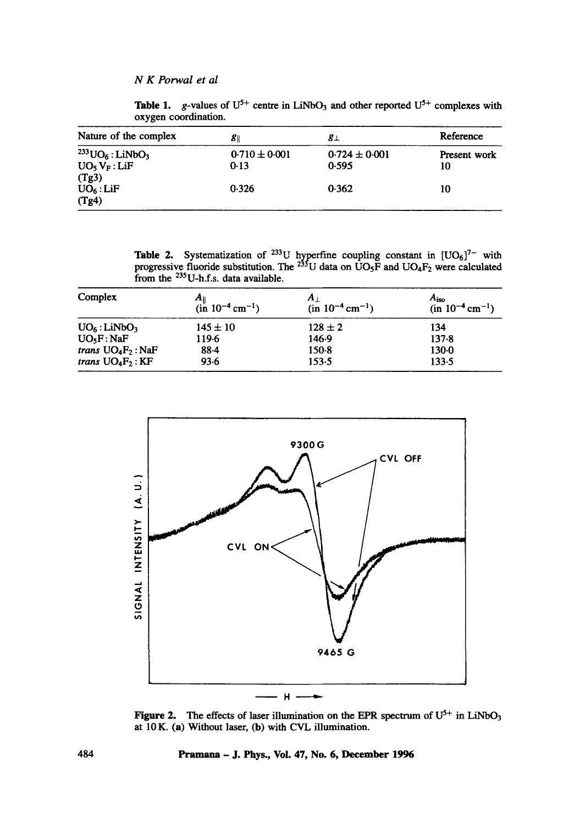**Table 1.** g-values of  $U^{5+}$  centre in LiNbO<sub>3</sub> and other reported  $U^{5+}$  complexes with oxygen coordination.

| Nature of the complex                                                                | 81                        | 8⊥                         | Reference          |
|--------------------------------------------------------------------------------------|---------------------------|----------------------------|--------------------|
| $^{233}$ UO <sub>6</sub> : LiNbO <sub>3</sub><br>UO <sub>5</sub> V <sub>F</sub> :LiF | $0.710 \pm 0.001$<br>0.13 | $0.724 \pm 0.001$<br>0.595 | Present work<br>10 |
| (Tg3)<br>$UO_6$ : LiF<br>(Tg4)                                                       | 0.326                     | 0.362                      | 10                 |

**Table 2.** Systematization of <sup>233</sup>U hyperfine coupling constant in  $[UO<sub>6</sub>]<sup>7</sup>$  with progressive fluoride substitution. The <sup>233</sup>U data on UO<sub>5</sub>F and UO<sub>4</sub>F<sub>2</sub> were calculated from the <sup>235</sup>U-h.f.s. data available.

| Complex                      | $\frac{A_{\parallel}}{(\text{in } 10^{-4} \text{ cm}^{-1})}$ | $(in 10^{-4} cm^{-1})$ | $A_{\rm iso}$<br>$(in 10^{-4} cm^{-1})$ |
|------------------------------|--------------------------------------------------------------|------------------------|-----------------------------------------|
| $UO_6$ : LiNbO <sub>3</sub>  | $145 \pm 10$                                                 | $128 \pm 2$            | 134                                     |
| UO <sub>5</sub> F:NaF        | 119.6                                                        | 146.9                  | 137.8                                   |
| <i>trans</i> $UO_4F_2$ : NaF | 88.4                                                         | $150-8$                | $130 - 0$                               |
| trans $UO_4F_2$ : KF         | 93.6                                                         | 153.5                  | 133.5                                   |



Figure 2. The effects of laser illumination on the EPR spectrum of  $U^{5+}$  in LiNbO<sub>3</sub> at 10 K. (a) Without laser, (b) with CVL illumination.

#### **484 Pramana - J. Phys., Vol. 47, No. 6, December 1996**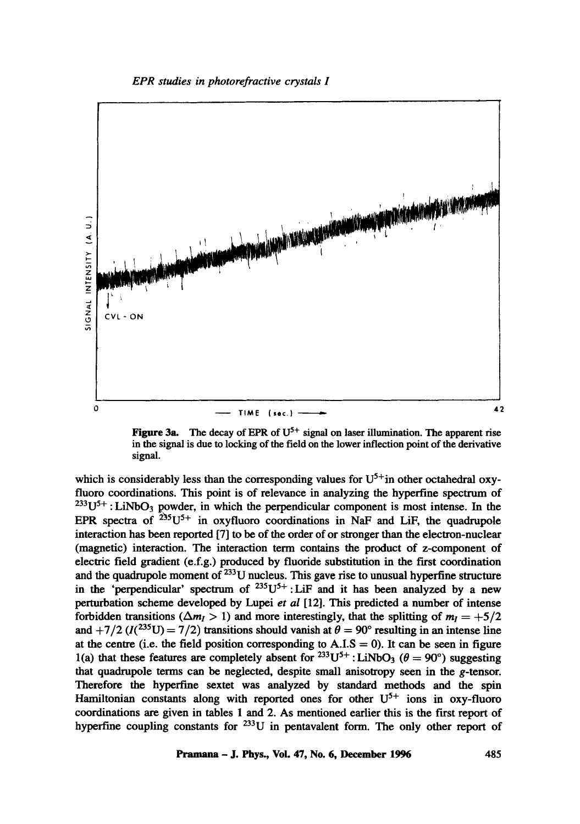

Figure 3a. The decay of EPR of  $U^{5+}$  signal on laser illumination. The apparent rise in the signal is due to locking of the field on the lower inflection point of the derivative signal.

which is considerably less than the corresponding values for  $U^{5+}$  in other octahedral oxyfluoro coordinations. This point is of relevance in analyzing the hyperfine spectrum of  $233U^{5+}$ : LiNbO<sub>3</sub> powder, in which the perpendicular component is most intense. In the EPR spectra of  $^{235}U^{5+}$  in oxyfluoro coordinations in NaF and LiF, the quadrupole interaction has been reported [7] to be of the order of or stronger than the electron-nuclear (magnetic) interaction. The interaction term contains the product of z-component of electric field gradient (e.f.g.) produced by fluoride substitution in the first coordination and the quadrupole moment of  $^{233}$ U nucleus. This gave rise to unusual hyperfine structure in the 'perpendicular' spectrum of  $^{235}U^{5+}$ : LiF and it has been analyzed by a new perturbation scheme developed by Lupei *et al* [12]. This predicted a number of intense forbidden transitions ( $\Delta m_l > 1$ ) and more interestingly, that the splitting of  $m_l = +5/2$ and +7/2 ( $I(2^{35}U) = 7/2$ ) transitions should vanish at  $\theta = 90^{\circ}$  resulting in an intense line at the centre (i.e. the field position corresponding to  $A.I.S = 0$ ). It can be seen in figure l(a) that these features are completely absent for  $^{233}U^{5+}$ : LiNbO<sub>3</sub> ( $\theta = 90^{\circ}$ ) suggesting that quadrupole terms can be neglected, despite small anisotropy seen in the g-tensor. Therefore the hyperfine sextet was analyzed by standard methods and the spin Hamiltonian constants along with reported ones for other  $U^{5+}$  ions in oxy-fluoro coordinations are given in tables 1 and 2. As mentioned earlier this is the first report of hyperfine coupling constants for <sup>233</sup>U in pentavalent form. The only other report of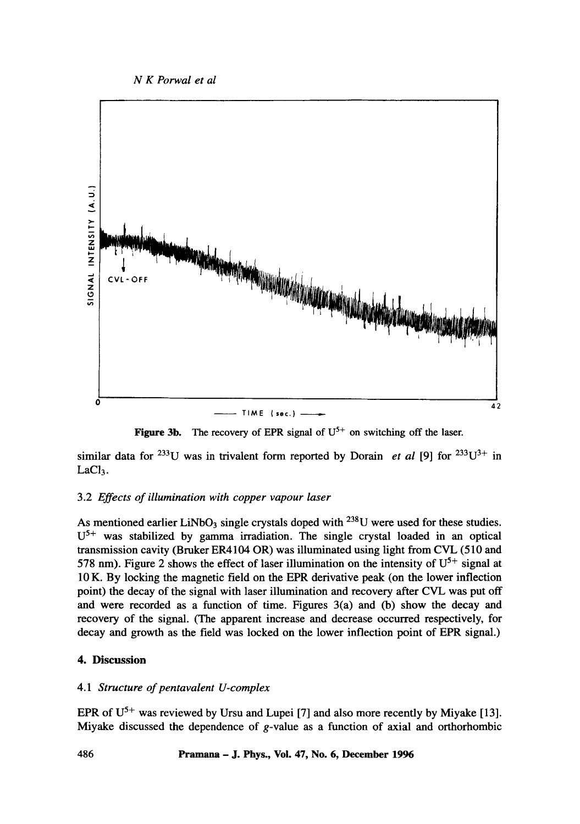

**Figure 3b.** The recovery of EPR signal of  $U^{5+}$  on switching off the laser.

similar data for <sup>233</sup>U was in trivalent form reported by Dorain *et al* [9] for <sup>233</sup>U<sup>3+</sup> in LaCl<sub>3</sub>.

## 3.2 *Effects of illumination with copper vapour laser*

As mentioned earlier LiNbO<sub>3</sub> single crystals doped with <sup>238</sup>U were used for these studies.  $U<sup>5+</sup>$  was stabilized by gamma irradiation. The single crystal loaded in an optical transmission cavity (Bruker ER4104 OR) was illuminated using light from CVL (510 and 578 nm). Figure 2 shows the effect of laser illumination on the intensity of  $U^{5+}$  signal at 10 K. By locking the magnetic field on the EPR derivative peak (on the lower inflection point) the decay of the signal with laser illumination and recovery after CVL was put off and were recorded as a function of time. Figures 3(a) and (b) show the decay and recovery of the signal. (The apparent increase and decrease occurred respectively, for decay and growth as the field was locked on the lower inflection point of EPR signal.)

## **4. Discussion**

## 4.1 *Structure of pentavalent U-complex*

EPR of  $U^{5+}$  was reviewed by Ursu and Lupei [7] and also more recently by Miyake [13]. Miyake discussed the dependence of g-value as a function of axial and orthorhombic

## **486 Pramana - J. Phys., Voi. 47, No. 6, December 1996**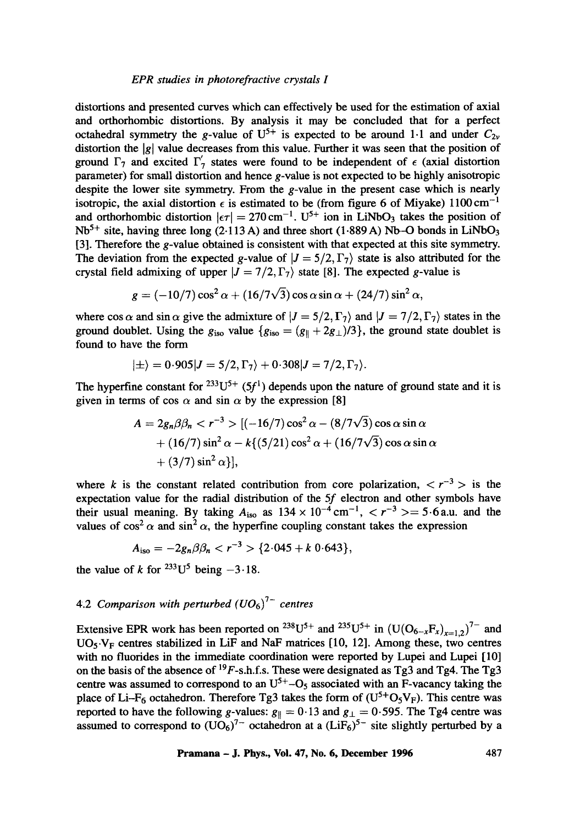distortions and presented curves which can effectively be used for the estimation of axial and orthorhombic distortions. By analysis it may be concluded that for a perfect octahedral symmetry the g-value of  $U^{5+}$  is expected to be around 1.1 and under  $C_{2\nu}$ distortion the |g| value decreases from this value. Further it was seen that the position of ground  $\Gamma_7$  and excited  $\Gamma'_7$  states were found to be independent of  $\epsilon$  (axial distortion parameter) for small distortion and hence g-value is not expected to be highly anisotropic despite the lower site symmetry. From the g-value in the present case which is nearly isotropic, the axial distortion  $\epsilon$  is estimated to be (from figure 6 of Miyake) 1100 cm<sup>-1</sup> and orthorhombic distortion  $|\epsilon\tau| = 270 \text{ cm}^{-1}$ . U<sup>5+</sup> ion in LiNbO<sub>3</sub> takes the position of  $Nb<sup>5+</sup>$  site, having three long (2.113 A) and three short (1.889 A) Nb-O bonds in LiNbO<sub>3</sub> [3]. Therefore the g-value obtained is consistent with that expected at this site symmetry. The deviation from the expected g-value of  $|J = 5/2, \Gamma_7\rangle$  state is also attributed for the crystal field admixing of upper  $|J = 7/2, \Gamma_7\rangle$  state [8]. The expected g-value is

$$
g = (-10/7)\cos^2\alpha + (16/7\sqrt{3})\cos\alpha\sin\alpha + (24/7)\sin^2\alpha,
$$

where cos  $\alpha$  and sin  $\alpha$  give the admixture of  $|J = 5/2, \Gamma_7\rangle$  and  $|J = 7/2, \Gamma_7\rangle$  states in the ground doublet. Using the  $g_{iso}$  value  $\{g_{iso} = (g_{\parallel} + 2g_{\perp})/3\}$ , the ground state doublet is found to have the form

$$
|\pm\rangle = 0.905|J = 5/2, \Gamma_7\rangle + 0.308|J = 7/2, \Gamma_7\rangle.
$$

The hyperfine constant for  $233U^{5+}$  (5f<sup>1</sup>) depends upon the nature of ground state and it is given in terms of cos  $\alpha$  and sin  $\alpha$  by the expression [8]

$$
A = 2g_n \beta \beta_n < r^{-3} > [(-16/7)\cos^2 \alpha - (8/7\sqrt{3})\cos \alpha \sin \alpha
$$
  
+ (16/7)\sin^2 \alpha - k\{(5/21)\cos^2 \alpha + (16/7\sqrt{3})\cos \alpha \sin \alpha  
+ (3/7)\sin^2 \alpha\},

where k is the constant related contribution from core polarization,  $\langle r^{-3} \rangle$  is the expectation value for the radial distribution of the 5f electron and other symbols have their usual meaning. By taking  $A_{iso}$  as  $134 \times 10^{-4}$  cm<sup>-1</sup>,  $\lt r^{-3} \gt 5.6$  a.u. and the values of  $\cos^2 \alpha$  and  $\sin^2 \alpha$ , the hyperfine coupling constant takes the expression

$$
A_{\rm iso}=-2g_n\beta\beta_n{2.045+k0.643},
$$

the value of k for  $^{233}U^5$  being  $-3.18$ .

## 4.2 *Comparison with perturbed*  $(UO_6)^{7-}$  centres

Extensive EPR work has been reported on <sup>238</sup>U<sup>5+</sup> and <sup>235</sup>U<sup>5+</sup> in  $(U(O_{6-x}F_x)_{x=1,2})^{7-}$  and UO<sub>5</sub> V<sub>F</sub> centres stabilized in LiF and NaF matrices [10, 12]. Among these, two centres with no fluorides in the immediate coordination were reported by Lupei and Lupei [10] on the basis of the absence of  $^{19}F$ -s.h.f.s. These were designated as Tg3 and Tg4. The Tg3 centre was assumed to correspond to an  $U^{5+}-O_5$  associated with an F-vacancy taking the place of Li-F<sub>6</sub> octahedron. Therefore Tg3 takes the form of  $(U<sup>5+</sup>O<sub>5</sub>V<sub>F</sub>)$ . This centre was reported to have the following g-values:  $g_{\parallel} = 0.13$  and  $g_{\perp} = 0.595$ . The Tg4 centre was assumed to correspond to  $(UO_6)^{7-}$  octahedron at a  $(LiF_6)^{5-}$  site slightly perturbed by a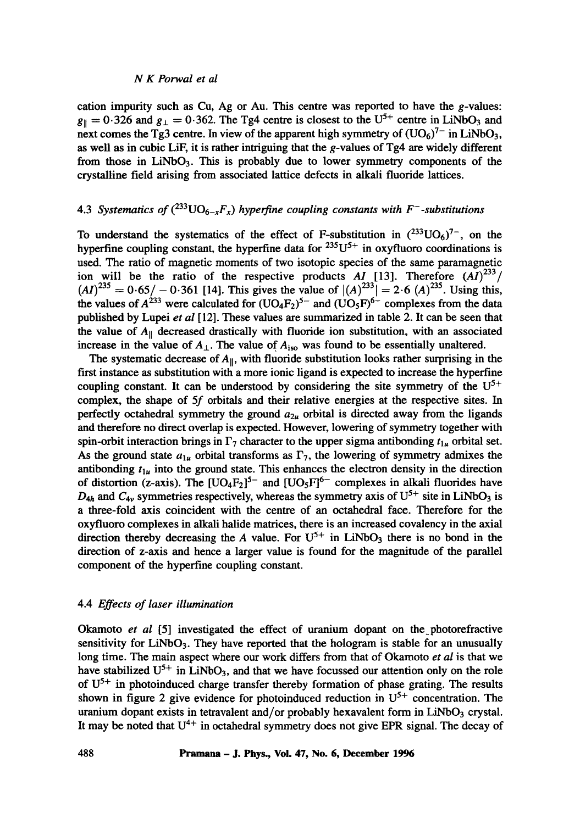cation impurity such as Cu, Ag or Au. This centre was reported to have the g-values:  $g_{\parallel} = 0.326$  and  $g_{\perp} = 0.362$ . The Tg4 centre is closest to the U<sup>5+</sup> centre in LiNbO<sub>3</sub> and next comes the Tg3 centre. In view of the apparent high symmetry of  $(UO_6)^7$  in LiNbO<sub>3</sub>, as well as in cubic LiF, it is rather intriguing that the g-values of Tg4 are widely different from those in  $LiNbO<sub>3</sub>$ . This is probably due to lower symmetry components of the crystalline field arising from associated lattice defects in alkali fluoride lattices.

## 4.3 *Systematics of*  $({}^{233}UO_{6-x}F_x)$  *hyperfine coupling constants with F<sup>-</sup>-substitutions*

To understand the systematics of the effect of F-substitution in  $(^{233}UO_6)^{7}$ , on the hyperfine coupling constant, the hyperfine data for  $235U^{5+}$  in oxyfluoro coordinations is used. The ratio of magnetic moments of two isotopic species of the same paramagnetic ion will be the ratio of the respective products *AI* [13]. Therefore  $(AI)^{233}$ /  $(AI)^{235} = 0.65/-0.361$  [14]. This gives the value of  $|(A)^{233}| = 2.6$   $(A)^{235}$ . Using this, the values of  $A^{233}$  were calculated for  $(UO_4F_2)^{5-}$  and  $(UO_5F)^{6-}$  complexes from the data published by Lupei *et al* [12]. These values are summarized in table 2. It can be seen that the value of  $A_{\parallel}$  decreased drastically with fluoride ion substitution, with an associated increase in the value of  $A_{\perp}$ . The value of  $A_{\text{iso}}$  was found to be essentially unaltered.

The systematic decrease of  $A_{\parallel}$ , with fluoride substitution looks rather surprising in the first instance as substitution with a more ionic ligand is expected to increase the hyperfine coupling constant. It can be understood by considering the site symmetry of the  $U^{5+}$ complex, the shape of 5f orbitals and their relative energies at the respective sites. In perfectly octahedral symmetry the ground  $a_{2\mu}$  orbital is directed away from the ligands and therefore no direct overlap is expected. However, lowering of symmetry together with spin-orbit interaction brings in  $\Gamma_7$  character to the upper sigma antibonding  $t_{1u}$  orbital set. As the ground state  $a_{1u}$  orbital transforms as  $\Gamma_7$ , the lowering of symmetry admixes the antibonding  $t_{1u}$  into the ground state. This enhances the electron density in the direction of distortion (z-axis). The  $[UO_4F_2]^{5-}$  and  $[UO_5F]^{6-}$  complexes in alkali fluorides have  $D_{4h}$  and  $C_{4v}$  symmetries respectively, whereas the symmetry axis of  $U^{5+}$  site in LiNbO<sub>3</sub> is a three-fold axis coincident with the centre of an octahedral face. Therefore for the oxyfluoro complexes in alkali halide matrices, there is an increased covalency in the axial direction thereby decreasing the A value. For  $U^{5+}$  in LiNbO<sub>3</sub> there is no bond in the direction of z-axis and hence a larger value is found for the magnitude of the parallel component of the hyperfine coupling constant.

## 4.4 *Effects of laser illumination*

Okamoto *et al* [5] investigated the effect of uranium dopant on the\_photorefractive sensitivity for  $LiNbO<sub>3</sub>$ . They have reported that the hologram is stable for an unusually long time. The main aspect where our work differs from that of Okamoto *et al* is that we have stabilized  $U^{5+}$  in LiNbO<sub>3</sub>, and that we have focussed our attention only on the role of  $U^{5+}$  in photoinduced charge transfer thereby formation of phase grating. The results shown in figure 2 give evidence for photoinduced reduction in  $U^{5+}$  concentration. The uranium dopant exists in tetravalent and/or probably hexavalent form in  $LiNbO<sub>3</sub>$  crystal. It may be noted that  $U^{4+}$  in octahedral symmetry does not give EPR signal. The decay of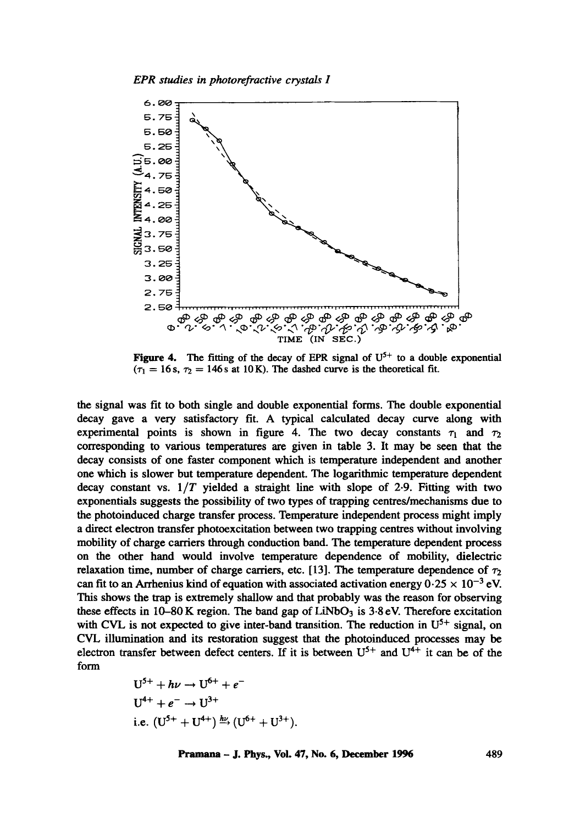

Figure 4. The fitting of the decay of EPR signal of  $U^{5+}$  to a double exponential  $(\tau_1 = 16 \text{ s}, \tau_2 = 146 \text{ s} \text{ at } 10 \text{ K})$ . The dashed curve is the theoretical fit.

the signal was fit to both single and double exponential forms. The double exponential decay gave a very satisfactory fit. A typical calculated decay curve along with experimental points is shown in figure 4. The two decay constants  $\tau_1$  and  $\tau_2$ corresponding to various temperatures are given in table 3. It may be seen that the decay consists of one faster component which is temperature independent and another one which is slower but temperature dependent. The logarithmic temperature dependent decay constant vs. *1/T* yielded a straight line with slope of 2.9. Fitting with two exponentials suggests the possibility of two types of trapping centresJmechanisms due to the photoinduced charge transfer process. Temperature independent process might imply a direct electron transfer photoexcitation between two trapping centres without involving mobility of charge carriers through conduction band. The temperature dependent process on the other hand would involve temperature dependence of mobility, dielectric relaxation time, number of charge carriers, etc. [13]. The temperature dependence of  $\tau_2$ can fit to an Arrhenius kind of equation with associated activation energy  $0.25 \times 10^{-3}$  eV. This shows the trap is extremely shallow and that probably was the reason for observing these effects in  $10-80$  K region. The band gap of LiNbO<sub>3</sub> is  $3.8$  eV. Therefore excitation with CVL is not expected to give inter-band transition. The reduction in  $U^{5+}$  signal, on CVL illumination and its restoration suggest that the photoinduced processes may be electron transfer between defect centers. If it is between  $U^{5+}$  and  $U^{4+}$  it can be of the form

$$
U^{5+} + h\nu \rightarrow U^{6+} + e^{-}
$$
  
\n
$$
U^{4+} + e^{-} \rightarrow U^{3+}
$$
  
\ni.e. 
$$
(U^{5+} + U^{4+})^{\frac{h\nu}{2}} (U^{6+} + U^{3+}).
$$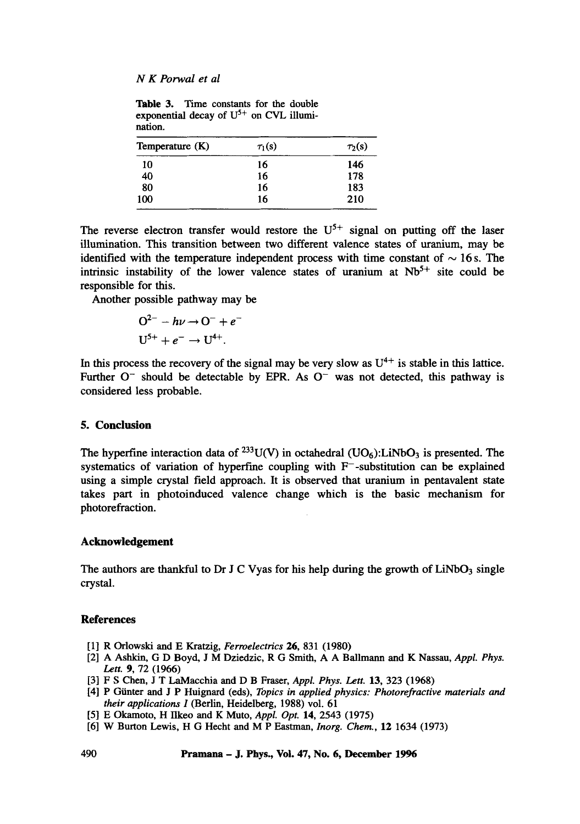Table 3. Time constants for the double exponential decay of  $U^{5+}$  on CVL illumination.

| Temperature (K) | $\tau_1(s)$ | $\tau_2(s)$ |
|-----------------|-------------|-------------|
| 10              | 16          | 146         |
| 40              | 16          | 178         |
| 80              | 16          | 183         |
| 100             | 16          | 210         |

The reverse electron transfer would restore the  $U^{5+}$  signal on putting off the laser illumination. This transition between two different valence states of uranium, may be identified with the temperature independent process with time constant of  $\sim$  16 s. The intrinsic instability of the lower valence states of uranium at  $Nb<sup>5+</sup>$  site could be responsible for this.

Another possible pathway may be

$$
O^{2-} - h\nu \rightarrow O^- + e^-
$$
  

$$
U^{5+} + e^- \rightarrow U^{4+}.
$$

In this process the recovery of the signal may be very slow as  $U^{4+}$  is stable in this lattice. Further  $O^-$  should be detectable by EPR. As  $O^-$  was not detected, this pathway is considered less probable.

### **5. Conclusion**

The hyperfine interaction data of  $^{233}$ U(V) in octahedral (UO<sub>6</sub>):LiNbO<sub>3</sub> is presented. The systematics of variation of hyperfine coupling with  $F$ -substitution can be explained using a simple crystal field approach. It is observed that uranium in pentavalent state takes part in photoinduced valence change which is the basic mechanism for photorefraction.

## **Acknowledgement**

The authors are thankful to Dr J C Vyas for his help during the growth of  $LiNbO<sub>3</sub>$  single crystal.

## **References**

- [1] R Orlowski and E Kratzig, *Ferroelectrics* 26, 831 (1980)
- [2] A Ashkin, G D Boyd, J M Dziedzic, R G Smith, A A Ballmann and K Nassau, *Appl. Phys.*  Lett. 9, 72 (1966)
- [3] F S Chen, J T LaMacchia and D B Fraser, *Appl. Phys. Lett.* **13**, 323 (1968)
- [4] P Giinter and J P Huignard (eds), *Topics in applied physics: Photorefractive materials and their applications I* (Berlin, Heidelberg, 1988) vol. 61
- [5] E Okamoto, H Ilkeo and K Muto, *Appl. Opt.* 14, 2543 (1975)
- [6] W Burton Lewis, H G Hecht and M P Eastman, *Inorg. Chem.,* 12 1634 (1973)